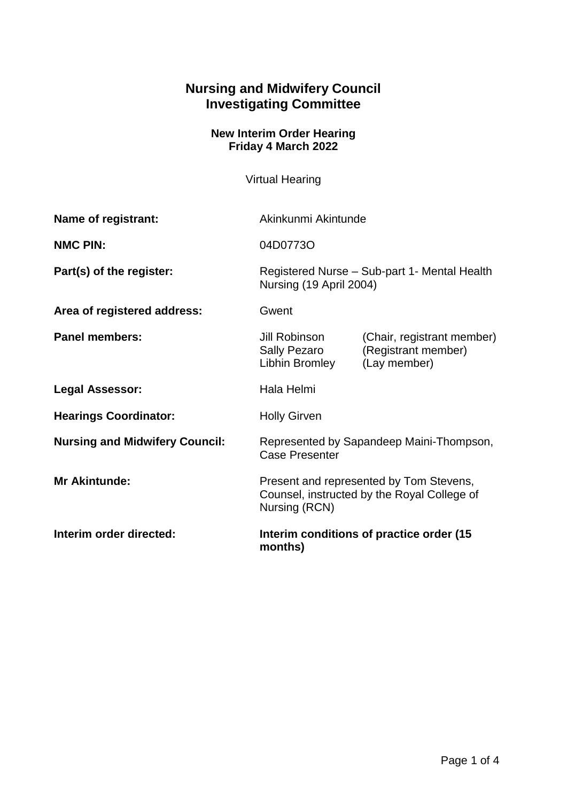## **Nursing and Midwifery Council Investigating Committee**

## **New Interim Order Hearing Friday 4 March 2022**

Virtual Hearing

| Name of registrant:                   | Akinkunmi Akintunde                                                                                     |                                                                   |
|---------------------------------------|---------------------------------------------------------------------------------------------------------|-------------------------------------------------------------------|
| <b>NMC PIN:</b>                       | 04D0773O                                                                                                |                                                                   |
| Part(s) of the register:              | Registered Nurse - Sub-part 1- Mental Health<br>Nursing (19 April 2004)                                 |                                                                   |
| Area of registered address:           | Gwent                                                                                                   |                                                                   |
| <b>Panel members:</b>                 | Jill Robinson<br>Sally Pezaro<br>Libhin Bromley                                                         | (Chair, registrant member)<br>(Registrant member)<br>(Lay member) |
| <b>Legal Assessor:</b>                | Hala Helmi                                                                                              |                                                                   |
| <b>Hearings Coordinator:</b>          | <b>Holly Girven</b>                                                                                     |                                                                   |
| <b>Nursing and Midwifery Council:</b> | Represented by Sapandeep Maini-Thompson,<br><b>Case Presenter</b>                                       |                                                                   |
| <b>Mr Akintunde:</b>                  | Present and represented by Tom Stevens,<br>Counsel, instructed by the Royal College of<br>Nursing (RCN) |                                                                   |
| Interim order directed:               | Interim conditions of practice order (15)<br>months)                                                    |                                                                   |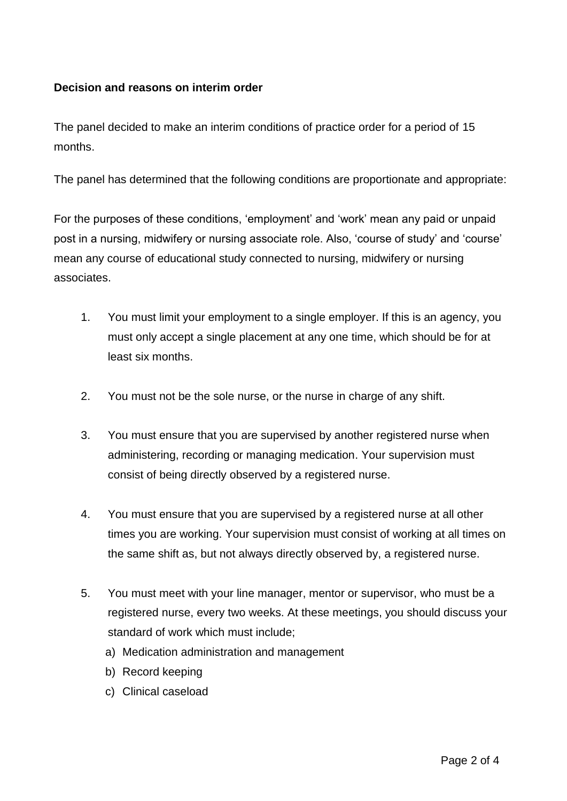## **Decision and reasons on interim order**

The panel decided to make an interim conditions of practice order for a period of 15 months.

The panel has determined that the following conditions are proportionate and appropriate:

For the purposes of these conditions, 'employment' and 'work' mean any paid or unpaid post in a nursing, midwifery or nursing associate role. Also, 'course of study' and 'course' mean any course of educational study connected to nursing, midwifery or nursing associates.

- 1. You must limit your employment to a single employer. If this is an agency, you must only accept a single placement at any one time, which should be for at least six months.
- 2. You must not be the sole nurse, or the nurse in charge of any shift.
- 3. You must ensure that you are supervised by another registered nurse when administering, recording or managing medication. Your supervision must consist of being directly observed by a registered nurse.
- 4. You must ensure that you are supervised by a registered nurse at all other times you are working. Your supervision must consist of working at all times on the same shift as, but not always directly observed by, a registered nurse.
- 5. You must meet with your line manager, mentor or supervisor, who must be a registered nurse, every two weeks. At these meetings, you should discuss your standard of work which must include;
	- a) Medication administration and management
	- b) Record keeping
	- c) Clinical caseload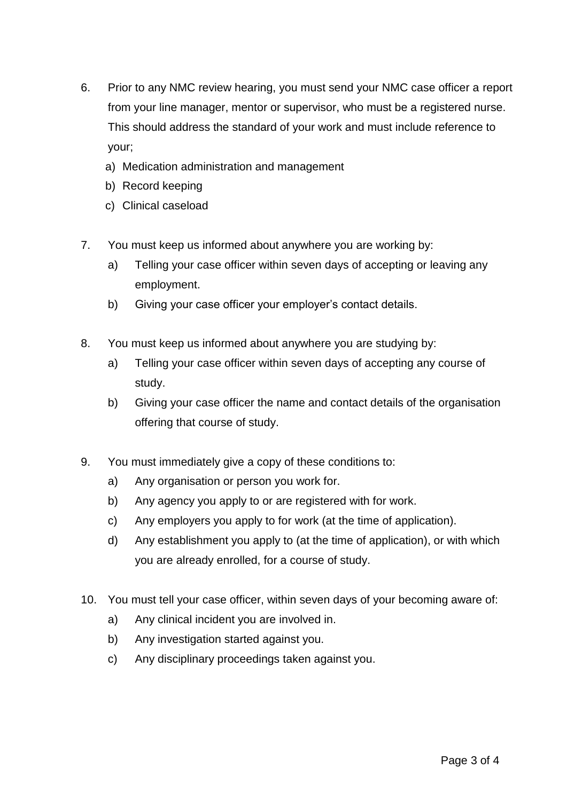- 6. Prior to any NMC review hearing, you must send your NMC case officer a report from your line manager, mentor or supervisor, who must be a registered nurse. This should address the standard of your work and must include reference to your;
	- a) Medication administration and management
	- b) Record keeping
	- c) Clinical caseload
- 7. You must keep us informed about anywhere you are working by:
	- a) Telling your case officer within seven days of accepting or leaving any employment.
	- b) Giving your case officer your employer's contact details.
- 8. You must keep us informed about anywhere you are studying by:
	- a) Telling your case officer within seven days of accepting any course of study.
	- b) Giving your case officer the name and contact details of the organisation offering that course of study.
- 9. You must immediately give a copy of these conditions to:
	- a) Any organisation or person you work for.
	- b) Any agency you apply to or are registered with for work.
	- c) Any employers you apply to for work (at the time of application).
	- d) Any establishment you apply to (at the time of application), or with which you are already enrolled, for a course of study.
- 10. You must tell your case officer, within seven days of your becoming aware of:
	- a) Any clinical incident you are involved in.
	- b) Any investigation started against you.
	- c) Any disciplinary proceedings taken against you.